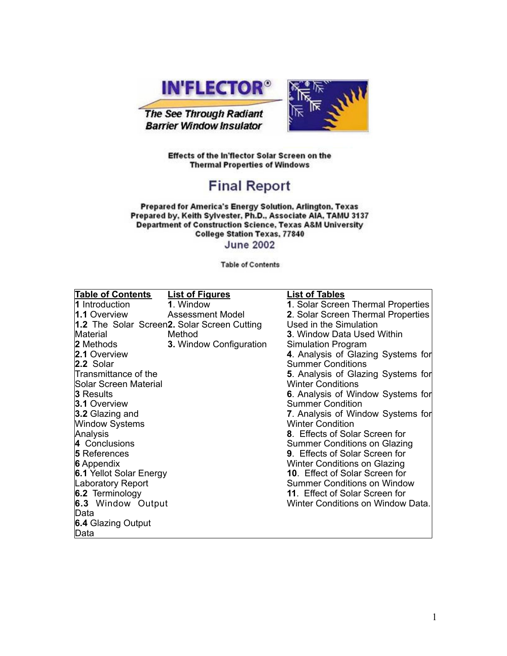



**The See Through Radiant Barrier Window Insulator** 

> Effects of the In'flector Solar Screen on the **Thermal Properties of Windows**

#### **Final Report**

Prepared for America's Energy Solution, Arlington, Texas Prepared by, Keith Sylvester, Ph.D., Associate AIA, TAMU 3137 Department of Construction Science, Texas A&M University **College Station Texas, 77840 June 2002** 

**Table of Contents** 

| <b>Table of Contents</b> | <b>List of Figures</b>                      | <b>List of Tables</b>                    |
|--------------------------|---------------------------------------------|------------------------------------------|
| 1 Introduction           | <b>1. Window</b>                            | 1. Solar Screen Thermal Properties       |
| 1.1 Overview             | <b>Assessment Model</b>                     | 2. Solar Screen Thermal Properties       |
|                          | 1.2 The Solar Screen2. Solar Screen Cutting | Used in the Simulation                   |
| Material                 | Method                                      | 3. Window Data Used Within               |
| 2 Methods                | 3. Window Configuration                     | <b>Simulation Program</b>                |
| 2.1 Overview             |                                             | 4. Analysis of Glazing Systems for       |
| 2.2 Solar                |                                             | <b>Summer Conditions</b>                 |
| Transmittance of the     |                                             | 5. Analysis of Glazing Systems for       |
| Solar Screen Material    |                                             | <b>Winter Conditions</b>                 |
| 3 Results                |                                             | <b>6.</b> Analysis of Window Systems for |
| 3.1 Overview             |                                             | <b>Summer Condition</b>                  |
| 3.2 Glazing and          |                                             | 7. Analysis of Window Systems for        |
| <b>Window Systems</b>    |                                             | <b>Winter Condition</b>                  |
| Analysis                 |                                             | 8. Effects of Solar Screen for           |
| 4 Conclusions            |                                             | Summer Conditions on Glazing             |
| <b>5</b> References      |                                             | <b>9. Effects of Solar Screen for</b>    |
| <b>6</b> Appendix        |                                             | Winter Conditions on Glazing             |
| 6.1 Yellot Solar Energy  |                                             | 10. Effect of Solar Screen for           |
| Laboratory Report        |                                             | <b>Summer Conditions on Window</b>       |
| 6.2 Terminology          |                                             | 11. Effect of Solar Screen for           |
| 6.3 Window Output        |                                             | Winter Conditions on Window Data.        |
| Data                     |                                             |                                          |
| 6.4 Glazing Output       |                                             |                                          |
| Data                     |                                             |                                          |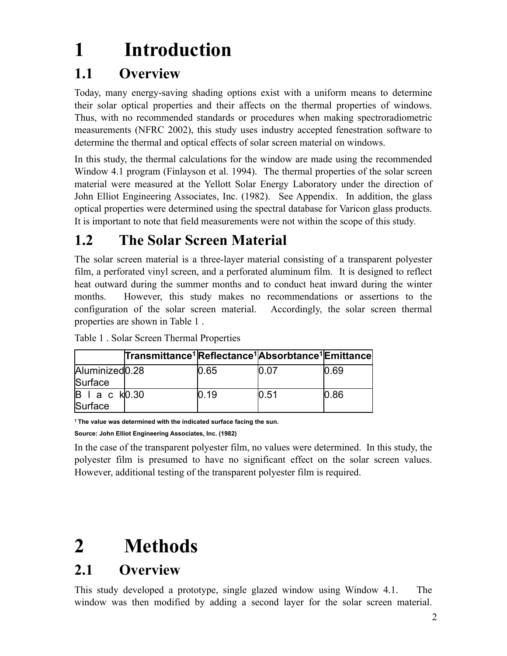# **1 Introduction**

### **1.1 Overview**

Today, many energy-saving shading options exist with a uniform means to determine their solar optical properties and their affects on the thermal properties of windows. Thus, with no recommended standards or procedures when making spectroradiometric measurements (NFRC 2002), this study uses industry accepted fenestration software to determine the thermal and optical effects of solar screen material on windows.

In this study, the thermal calculations for the window are made using the recommended Window 4.1 program (Finlayson et al. 1994). The thermal properties of the solar screen material were measured at the Yellott Solar Energy Laboratory under the direction of John Elliot Engineering Associates, Inc. (1982). See Appendix. In addition, the glass optical properties were determined using the spectral database for Varicon glass products. It is important to note that field measurements were not within the scope of this study.

#### **1.2 The Solar Screen Material**

The solar screen material is a three-layer material consisting of a transparent polyester film, a perforated vinyl screen, and a perforated aluminum film. It is designed to reflect heat outward during the summer months and to conduct heat inward during the winter months. However, this study makes no recommendations or assertions to the configuration of the solar screen material. Accordingly, the solar screen thermal properties are shown in Table 1 .

|                                       | Transmittance <sup>1</sup>  Reflectance <sup>1</sup>  Absorbtance <sup>1</sup>  Emittance |       |      |      |
|---------------------------------------|-------------------------------------------------------------------------------------------|-------|------|------|
| Aluminized <sub>0.28</sub><br>Surface |                                                                                           | 0.65  |      | 0.69 |
| B   a c k 0.30<br>Surface             |                                                                                           | IN 19 | 0.51 | 0.86 |

Table 1 . Solar Screen Thermal Properties

**1 The value was determined with the indicated surface facing the sun. Source: John Elliot Engineering Associates, Inc. (1982)**

In the case of the transparent polyester film, no values were determined. In this study, the polyester film is presumed to have no significant effect on the solar screen values. However, additional testing of the transparent polyester film is required.

## **2 Methods**

### **2.1 Overview**

This study developed a prototype, single glazed window using Window 4.1. The window was then modified by adding a second layer for the solar screen material.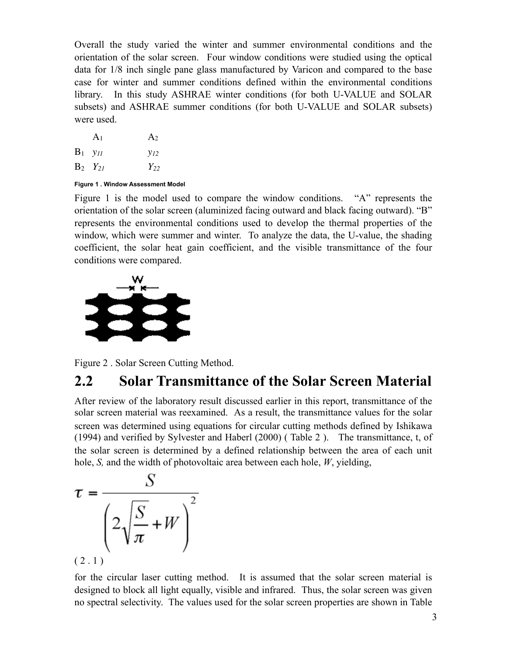Overall the study varied the winter and summer environmental conditions and the orientation of the solar screen. Four window conditions were studied using the optical data for 1/8 inch single pane glass manufactured by Varicon and compared to the base case for winter and summer conditions defined within the environmental conditions library. In this study ASHRAE winter conditions (for both U-VALUE and SOLAR subsets) and ASHRAE summer conditions (for both U-VALUE and SOLAR subsets) were used.

| A <sub>1</sub>        | A <sub>2</sub> |
|-----------------------|----------------|
| $B_1$ y <sub>11</sub> | $y_{12}$       |
| $B_2$ $Y_{21}$        | $Y_{22}$       |

#### **Figure 1 . Window Assessment Model**

Figure 1 is the model used to compare the window conditions. "A" represents the orientation of the solar screen (aluminized facing outward and black facing outward). "B" represents the environmental conditions used to develop the thermal properties of the window, which were summer and winter. To analyze the data, the U-value, the shading coefficient, the solar heat gain coefficient, and the visible transmittance of the four conditions were compared.



Figure 2 . Solar Screen Cutting Method.

#### **2.2 Solar Transmittance of the Solar Screen Material**

After review of the laboratory result discussed earlier in this report, transmittance of the solar screen material was reexamined. As a result, the transmittance values for the solar screen was determined using equations for circular cutting methods defined by Ishikawa (1994) and verified by Sylvester and Haberl (2000) ( Table 2 ). The transmittance, t, of the solar screen is determined by a defined relationship between the area of each unit hole, *S,* and the width of photovoltaic area between each hole, *W*, yielding,

$$
\tau = \frac{S}{\left(2\sqrt{\frac{S}{\pi}} + W\right)^2}
$$

for the circular laser cutting method. It is assumed that the solar screen material is designed to block all light equally, visible and infrared. Thus, the solar screen was given no spectral selectivity. The values used for the solar screen properties are shown in Table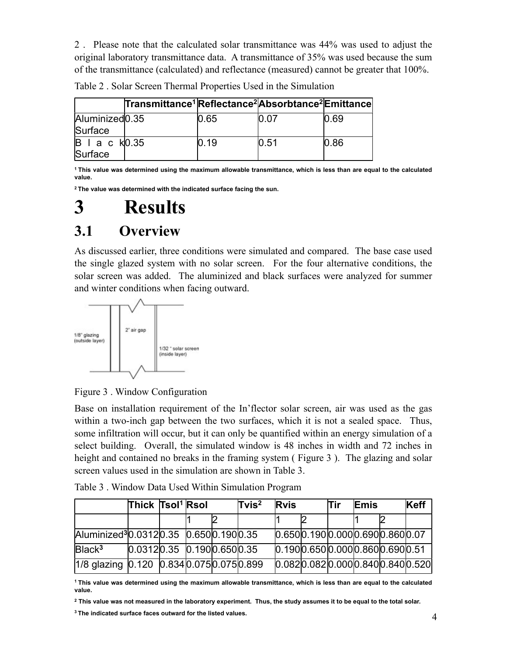2 . Please note that the calculated solar transmittance was 44% was used to adjust the original laboratory transmittance data. A transmittance of 35% was used because the sum of the transmittance (calculated) and reflectance (measured) cannot be greater that 100%.

|                                       | Transmittance <sup>1</sup> Reflectance <sup>2</sup> Absorbtance <sup>2</sup> Emittance |       |      |       |
|---------------------------------------|----------------------------------------------------------------------------------------|-------|------|-------|
| Aluminized <sub>0.35</sub><br>Surface |                                                                                        | 0.65  |      | 0.69  |
| B   a c k 0.35<br>Surface             |                                                                                        | IN 19 | 0.51 | 10.86 |

Table 2 . Solar Screen Thermal Properties Used in the Simulation

**1 This value was determined using the maximum allowable transmittance, which is less than are equal to the calculated value.**

**2 The value was determined with the indicated surface facing the sun.** 

**3 Results**

#### **3.1 Overview**

As discussed earlier, three conditions were simulated and compared. The base case used the single glazed system with no solar screen. For the four alternative conditions, the solar screen was added. The aluminized and black surfaces were analyzed for summer and winter conditions when facing outward.



Figure 3 . Window Configuration

Base on installation requirement of the In'flector solar screen, air was used as the gas within a two-inch gap between the two surfaces, which it is not a sealed space. Thus, some infiltration will occur, but it can only be quantified within an energy simulation of a select building. Overall, the simulated window is 48 inches in width and 72 inches in height and contained no breaks in the framing system (Figure 3). The glazing and solar screen values used in the simulation are shown in Table 3.

|                                                   | Thick Tsol <sup>1</sup> Rsol |  | Tvis $^2$ | <b>Rvis</b> |                                    | lTir | Emis | Keff                           |
|---------------------------------------------------|------------------------------|--|-----------|-------------|------------------------------------|------|------|--------------------------------|
|                                                   |                              |  |           |             |                                    |      |      |                                |
| Aluminized <sup>3</sup> 0.03120.35 0.6500.1900.35 |                              |  |           |             | 0.650 0.190 0.000 0.690 0.860 0.07 |      |      |                                |
| Black <sup>3</sup>                                | 0.0312 0.35 0.190 0.650 0.35 |  |           |             | 0.190 0.650 0.000 0.860 0.690 0.51 |      |      |                                |
| 1/8 glazing 0.120 0.834 0.075 0.075 0.899         |                              |  |           |             |                                    |      |      | 0.0820.0820.0000.8400.8400.520 |

Table 3 . Window Data Used Within Simulation Program

**1 This value was determined using the maximum allowable transmittance, which is less than are equal to the calculated value.**

**2 This value was not measured in the laboratory experiment. Thus, the study assumes it to be equal to the total solar.**

**3 The indicated surface faces outward for the listed values.**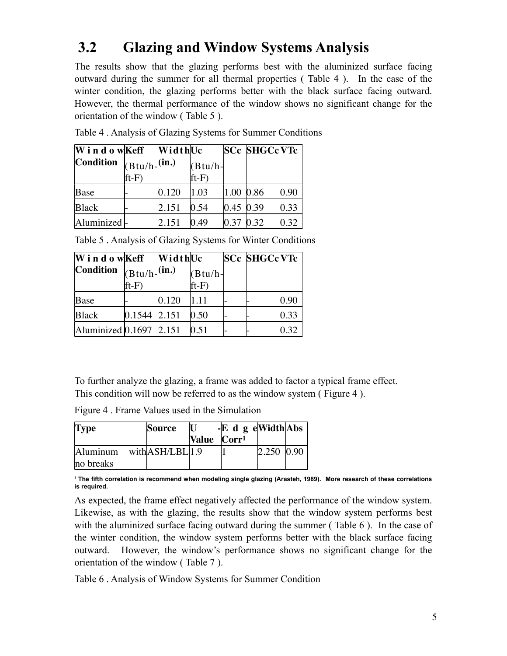#### **3.2 Glazing and Window Systems Analysis**

The results show that the glazing performs best with the aluminized surface facing outward during the summer for all thermal properties ( Table 4 ). In the case of the winter condition, the glazing performs better with the black surface facing outward. However, the thermal performance of the window shows no significant change for the orientation of the window ( Table 5 ).

| WindowKeff       |                     | WidthUc |                       |           | <b>SCc SHGCcVTc</b> |      |
|------------------|---------------------|---------|-----------------------|-----------|---------------------|------|
| <b>Condition</b> | $(Btu/h -$<br>ft-F) | (in.)   | $(Btu/h -$<br>$ft-F)$ |           |                     |      |
| Base             |                     | 0.120   | 1.03                  | 1.00 0.86 |                     | 0.90 |
| <b>Black</b>     |                     | 2.151   | 0.54                  | 0.45 0.39 |                     | 0.33 |
| Aluminized  -    |                     | 2.151   | 0.49                  | 0.37      | 0.32                | 0.32 |

Table 4 . Analysis of Glazing Systems for Summer Conditions

|  |  |  | Table 5. Analysis of Glazing Systems for Winter Conditions |
|--|--|--|------------------------------------------------------------|
|  |  |  |                                                            |

| WindowKeff              |                           | WidthUc |                       | <b>SCc SHGCcVTc</b> |      |
|-------------------------|---------------------------|---------|-----------------------|---------------------|------|
| <b>Condition</b>        | $(Btu/h-(in.)$<br>$ft-F)$ |         | $(Btu/h -$<br>$ft-F)$ |                     |      |
| Base                    |                           | 0.120   | 1.11                  |                     | 0.90 |
| <b>Black</b>            | 0.1544 2.151              |         | 0.50                  |                     | 0.33 |
| Aluminized 0.1697 2.151 |                           |         | 0.51                  |                     | 0.32 |

To further analyze the glazing, a frame was added to factor a typical frame effect. This condition will now be referred to as the window system ( Figure 4 ).

| <b>Type</b> | Source                   | $\mathbf{u}$            | - $E$ d g eWidth Abs |            |  |
|-------------|--------------------------|-------------------------|----------------------|------------|--|
|             |                          | Value Corr <sup>1</sup> |                      |            |  |
|             | Aluminum withASH/LBL 1.9 |                         |                      | 2.250 0.90 |  |
| no breaks   |                          |                         |                      |            |  |

Figure 4 . Frame Values used in the Simulation

**1 The fifth correlation is recommend when modeling single glazing (Arasteh, 1989). More research of these correlations is required.**

As expected, the frame effect negatively affected the performance of the window system. Likewise, as with the glazing, the results show that the window system performs best with the aluminized surface facing outward during the summer (Table 6). In the case of the winter condition, the window system performs better with the black surface facing outward. However, the window's performance shows no significant change for the orientation of the window ( Table 7 ).

Table 6 . Analysis of Window Systems for Summer Condition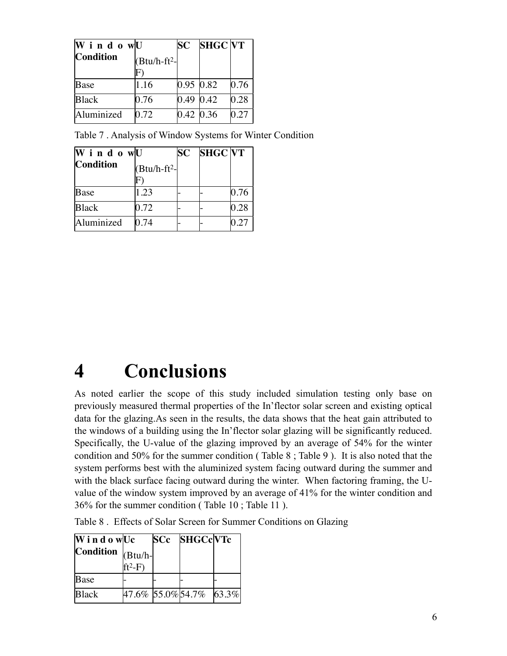| Window <sub>U</sub> |               | <b>SC</b> | <b>SHGC VT</b> |      |
|---------------------|---------------|-----------|----------------|------|
| <b>Condition</b>    | $(Btu/h-ft2)$ |           |                |      |
|                     |               |           |                |      |
| Base                | 1.16          | 0.95 0.82 |                | 0.76 |
| <b>Black</b>        | 0.76          | 0.49 0.42 |                | 0.28 |
| Aluminized          | 0.72          | 0.42 0.36 |                | 0.27 |

Table 7 . Analysis of Window Systems for Winter Condition

| W i n d o wU     |              | <b>SC</b> | <b>SHGC VT</b> |      |
|------------------|--------------|-----------|----------------|------|
| <b>Condition</b> | $(Btu/h-ft2$ |           |                |      |
| Base             | 1.23         |           |                | 0.76 |
| <b>Black</b>     | 0.72         |           |                | 0.28 |
| Aluminized       | 0.74         |           |                | 127  |

### **4 Conclusions**

As noted earlier the scope of this study included simulation testing only base on previously measured thermal properties of the In'flector solar screen and existing optical data for the glazing.As seen in the results, the data shows that the heat gain attributed to the windows of a building using the In'flector solar glazing will be significantly reduced. Specifically, the U-value of the glazing improved by an average of 54% for the winter condition and 50% for the summer condition ( Table 8 ; Table 9 ). It is also noted that the system performs best with the aluminized system facing outward during the summer and with the black surface facing outward during the winter. When factoring framing, the Uvalue of the window system improved by an average of 41% for the winter condition and 36% for the summer condition ( Table 10 ; Table 11 ).

| W i n d o w Uc<br>Condition $ $ <sub>(Btu/h-</sub> $ $ | $ft^2-F$ | SCc SHGCcVTc            |  |
|--------------------------------------------------------|----------|-------------------------|--|
| Base                                                   |          |                         |  |
| <b>Black</b>                                           |          | 47.6% 55.0% 54.7% 63.3% |  |

Table 8 . Effects of Solar Screen for Summer Conditions on Glazing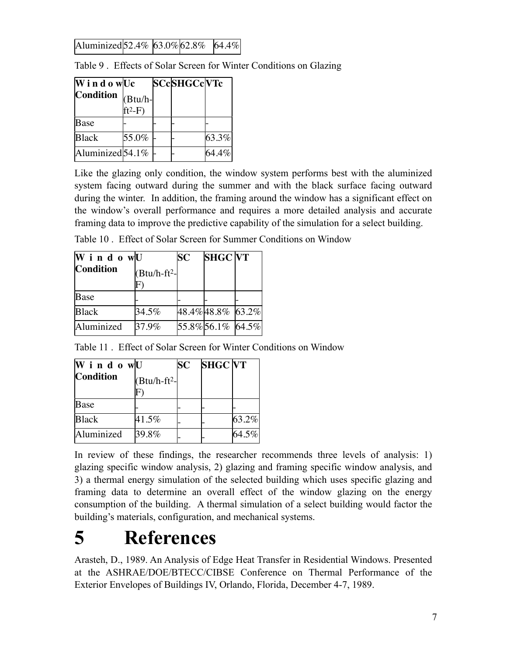Aluminized 52.4% 63.0% 62.8% 64.4%

| W i n d o wUc    |                       | <b>SCcSHGCcVTc</b> |       |
|------------------|-----------------------|--------------------|-------|
| <b>Condition</b> | $ Btu/h-$<br>$ft^2-F$ |                    |       |
| Base             |                       |                    |       |
| <b>Black</b>     | 55.0%                 |                    | 63.3% |
| Aluminized 54.1% |                       |                    | 64.4% |

Table 9 . Effects of Solar Screen for Winter Conditions on Glazing

Like the glazing only condition, the window system performs best with the aluminized system facing outward during the summer and with the black surface facing outward during the winter. In addition, the framing around the window has a significant effect on the window's overall performance and requires a more detailed analysis and accurate framing data to improve the predictive capability of the simulation for a select building.

Table 10 . Effect of Solar Screen for Summer Conditions on Window

| W i n d o wU     |                   | <b>SC</b> | <b>SHGC VT</b>         |  |
|------------------|-------------------|-----------|------------------------|--|
| <b>Condition</b> | $(Btu/h-ft2$<br>۲ |           |                        |  |
| Base             |                   |           |                        |  |
| <b>Black</b>     | 34.5%             |           | 48.4% 48.8% 63.2%      |  |
| Aluminized       | 37.9%             |           | $55.8\%$ 56.1\% 64.5\% |  |

Table 11 . Effect of Solar Screen for Winter Conditions on Window

| Window <sub>U</sub> |                   | <b>SC</b> | <b>SHGC VT</b> |       |
|---------------------|-------------------|-----------|----------------|-------|
| <b>Condition</b>    | $(Btu/h-ft2$<br>۲ |           |                |       |
| Base                |                   |           |                |       |
| <b>Black</b>        | 41.5%             |           |                | 63.2% |
| Aluminized          | 39.8%             |           |                | 64.5% |

In review of these findings, the researcher recommends three levels of analysis: 1) glazing specific window analysis, 2) glazing and framing specific window analysis, and 3) a thermal energy simulation of the selected building which uses specific glazing and framing data to determine an overall effect of the window glazing on the energy consumption of the building. A thermal simulation of a select building would factor the building's materials, configuration, and mechanical systems.

### **5 References**

Arasteh, D., 1989. An Analysis of Edge Heat Transfer in Residential Windows. Presented at the ASHRAE/DOE/BTECC/CIBSE Conference on Thermal Performance of the Exterior Envelopes of Buildings IV, Orlando, Florida, December 4-7, 1989.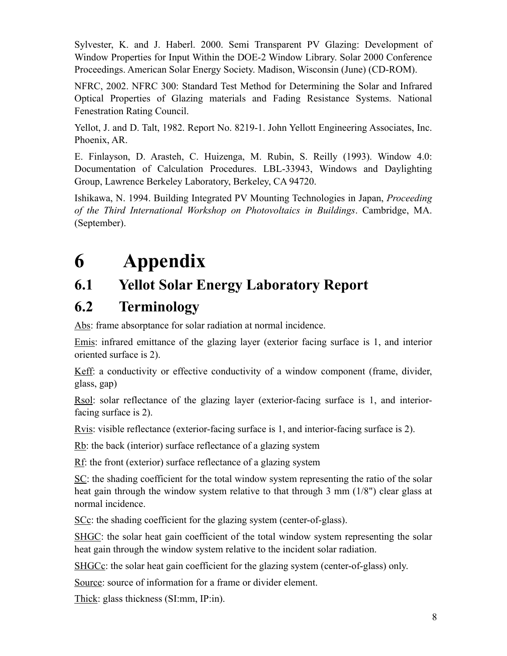Sylvester, K. and J. Haberl. 2000. Semi Transparent PV Glazing: Development of Window Properties for Input Within the DOE-2 Window Library. Solar 2000 Conference Proceedings. American Solar Energy Society. Madison, Wisconsin (June) (CD-ROM).

NFRC, 2002. NFRC 300: Standard Test Method for Determining the Solar and Infrared Optical Properties of Glazing materials and Fading Resistance Systems. National Fenestration Rating Council.

Yellot, J. and D. Talt, 1982. Report No. 8219-1. John Yellott Engineering Associates, Inc. Phoenix, AR.

E. Finlayson, D. Arasteh, C. Huizenga, M. Rubin, S. Reilly (1993). Window 4.0: Documentation of Calculation Procedures. LBL-33943, Windows and Daylighting Group, Lawrence Berkeley Laboratory, Berkeley, CA 94720.

Ishikawa, N. 1994. Building Integrated PV Mounting Technologies in Japan, *Proceeding of the Third International Workshop on Photovoltaics in Buildings*. Cambridge, MA. (September).

### **6 Appendix**

#### **6.1 Yellot Solar Energy Laboratory Report**

#### **6.2 Terminology**

Abs: frame absorptance for solar radiation at normal incidence.

Emis: infrared emittance of the glazing layer (exterior facing surface is 1, and interior oriented surface is 2).

Keff: a conductivity or effective conductivity of a window component (frame, divider, glass, gap)

Rsol: solar reflectance of the glazing layer (exterior-facing surface is 1, and interiorfacing surface is 2).

Rvis: visible reflectance (exterior-facing surface is 1, and interior-facing surface is 2).

Rb: the back (interior) surface reflectance of a glazing system

Rf: the front (exterior) surface reflectance of a glazing system

SC: the shading coefficient for the total window system representing the ratio of the solar heat gain through the window system relative to that through 3 mm (1/8") clear glass at normal incidence.

SCc: the shading coefficient for the glazing system (center-of-glass).

SHGC: the solar heat gain coefficient of the total window system representing the solar heat gain through the window system relative to the incident solar radiation.

SHGCc: the solar heat gain coefficient for the glazing system (center-of-glass) only.

Source: source of information for a frame or divider element.

Thick: glass thickness (SI:mm, IP:in).